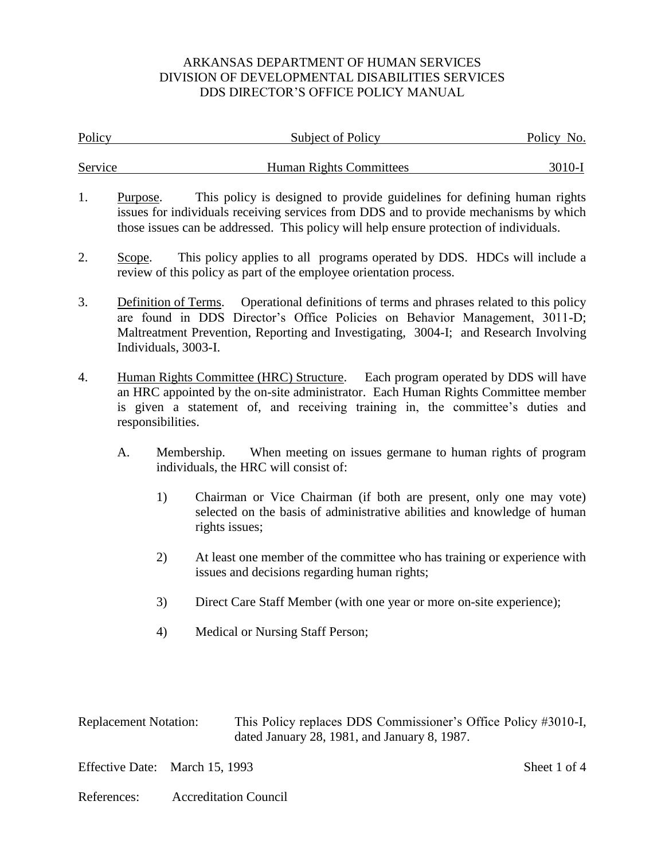| Policy  |                                                                                                                                                                                                                                                                            | Subject of Policy                                                                                                                                                                                                                                                                          | Policy No. |  |
|---------|----------------------------------------------------------------------------------------------------------------------------------------------------------------------------------------------------------------------------------------------------------------------------|--------------------------------------------------------------------------------------------------------------------------------------------------------------------------------------------------------------------------------------------------------------------------------------------|------------|--|
| Service |                                                                                                                                                                                                                                                                            | <b>Human Rights Committees</b>                                                                                                                                                                                                                                                             | 3010-I     |  |
| 1.      | Purpose.                                                                                                                                                                                                                                                                   | This policy is designed to provide guidelines for defining human rights<br>issues for individuals receiving services from DDS and to provide mechanisms by which<br>those issues can be addressed. This policy will help ensure protection of individuals.                                 |            |  |
| 2.      | Scope.                                                                                                                                                                                                                                                                     | This policy applies to all programs operated by DDS. HDCs will include a<br>review of this policy as part of the employee orientation process.                                                                                                                                             |            |  |
| 3.      |                                                                                                                                                                                                                                                                            | Operational definitions of terms and phrases related to this policy<br>Definition of Terms.<br>are found in DDS Director's Office Policies on Behavior Management, 3011-D;<br>Maltreatment Prevention, Reporting and Investigating, 3004-I; and Research Involving<br>Individuals, 3003-I. |            |  |
| 4.      | Human Rights Committee (HRC) Structure. Each program operated by DDS will have<br>an HRC appointed by the on-site administrator. Each Human Rights Committee member<br>is given a statement of, and receiving training in, the committee's duties and<br>responsibilities. |                                                                                                                                                                                                                                                                                            |            |  |
|         | A.                                                                                                                                                                                                                                                                         | When meeting on issues germane to human rights of program<br>Membership.<br>individuals, the HRC will consist of:                                                                                                                                                                          |            |  |
|         | 1)                                                                                                                                                                                                                                                                         | Chairman or Vice Chairman (if both are present, only one may vote)<br>selected on the basis of administrative abilities and knowledge of human<br>rights issues;                                                                                                                           |            |  |
|         | 2)                                                                                                                                                                                                                                                                         | At least one member of the committee who has training or experience with<br>issues and decisions regarding human rights;                                                                                                                                                                   |            |  |
|         | 3)                                                                                                                                                                                                                                                                         | Direct Care Staff Member (with one year or more on-site experience);                                                                                                                                                                                                                       |            |  |
|         | 4)                                                                                                                                                                                                                                                                         | Medical or Nursing Staff Person;                                                                                                                                                                                                                                                           |            |  |

| <b>Replacement Notation:</b> | This Policy replaces DDS Commissioner's Office Policy #3010-I, |
|------------------------------|----------------------------------------------------------------|
|                              | dated January 28, 1981, and January 8, 1987.                   |

Effective Date: March 15, 1993 Sheet 1 of 4

References: Accreditation Council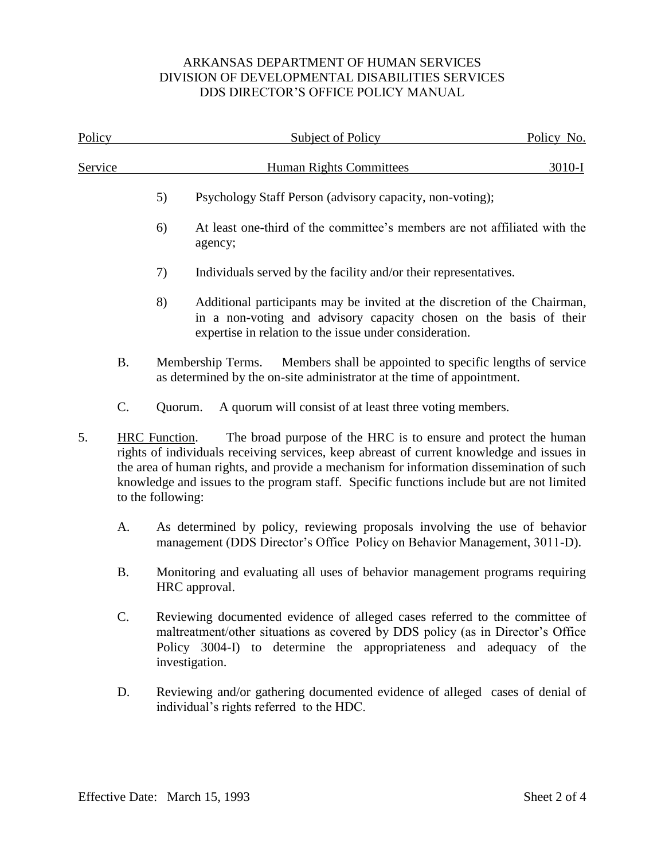| Policy  |                 |                                                                                               | <b>Subject of Policy</b>                                                                                                                                                                                                                                                                                                                             | Policy No. |  |  |
|---------|-----------------|-----------------------------------------------------------------------------------------------|------------------------------------------------------------------------------------------------------------------------------------------------------------------------------------------------------------------------------------------------------------------------------------------------------------------------------------------------------|------------|--|--|
| Service |                 |                                                                                               | <b>Human Rights Committees</b>                                                                                                                                                                                                                                                                                                                       | $3010-I$   |  |  |
|         |                 | 5)                                                                                            | Psychology Staff Person (advisory capacity, non-voting);                                                                                                                                                                                                                                                                                             |            |  |  |
|         |                 | 6)                                                                                            | At least one-third of the committee's members are not affiliated with the<br>agency;                                                                                                                                                                                                                                                                 |            |  |  |
|         |                 | 7)                                                                                            | Individuals served by the facility and/or their representatives.                                                                                                                                                                                                                                                                                     |            |  |  |
|         |                 | 8)                                                                                            | Additional participants may be invited at the discretion of the Chairman,<br>in a non-voting and advisory capacity chosen on the basis of their<br>expertise in relation to the issue under consideration.                                                                                                                                           |            |  |  |
|         | <b>B.</b>       |                                                                                               | Members shall be appointed to specific lengths of service<br>Membership Terms.<br>as determined by the on-site administrator at the time of appointment.                                                                                                                                                                                             |            |  |  |
|         | $C$ .           | Quorum.                                                                                       | A quorum will consist of at least three voting members.                                                                                                                                                                                                                                                                                              |            |  |  |
| 5.      |                 | HRC Function.<br>to the following:                                                            | The broad purpose of the HRC is to ensure and protect the human<br>rights of individuals receiving services, keep abreast of current knowledge and issues in<br>the area of human rights, and provide a mechanism for information dissemination of such<br>knowledge and issues to the program staff. Specific functions include but are not limited |            |  |  |
|         | A.              |                                                                                               | As determined by policy, reviewing proposals involving the use of behavior<br>management (DDS Director's Office Policy on Behavior Management, 3011-D).                                                                                                                                                                                              |            |  |  |
|         | <b>B.</b>       | Monitoring and evaluating all uses of behavior management programs requiring<br>HRC approval. |                                                                                                                                                                                                                                                                                                                                                      |            |  |  |
|         | $\mathcal{C}$ . |                                                                                               | Reviewing documented evidence of alleged cases referred to the committee of<br>maltreatment/other situations as covered by DDS policy (as in Director's Office<br>Policy 3004-I) to determine the appropriateness and adequacy of the<br>investigation.                                                                                              |            |  |  |
|         | D.              |                                                                                               | Reviewing and/or gathering documented evidence of alleged cases of denial of<br>individual's rights referred to the HDC.                                                                                                                                                                                                                             |            |  |  |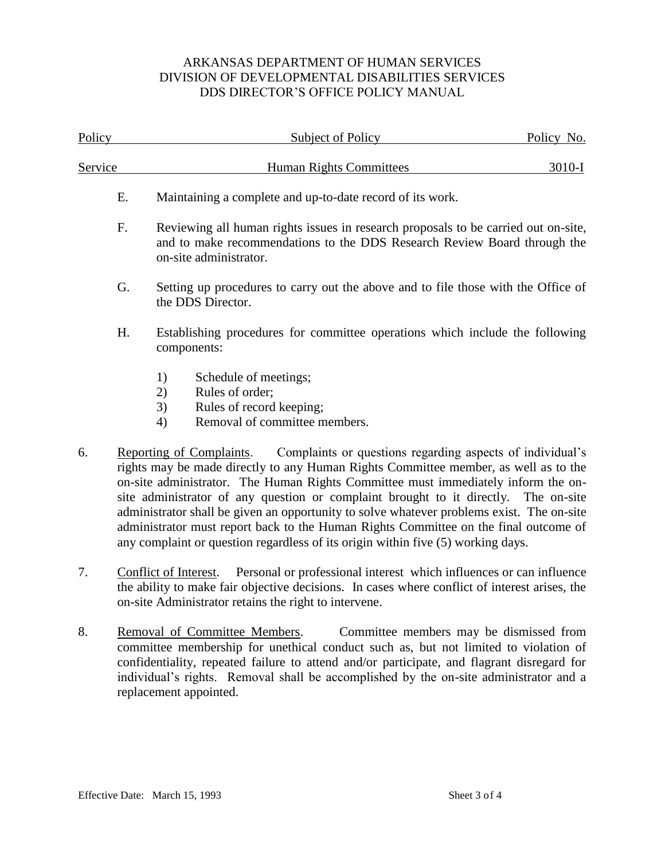| Policy  |    | Subject of Policy                                                                                                                                                                                                                                                                                                                                                                                                                                                                                                                                                                                                                 | Policy No. |  |
|---------|----|-----------------------------------------------------------------------------------------------------------------------------------------------------------------------------------------------------------------------------------------------------------------------------------------------------------------------------------------------------------------------------------------------------------------------------------------------------------------------------------------------------------------------------------------------------------------------------------------------------------------------------------|------------|--|
| Service |    | <b>Human Rights Committees</b>                                                                                                                                                                                                                                                                                                                                                                                                                                                                                                                                                                                                    | $3010-I$   |  |
|         | E. | Maintaining a complete and up-to-date record of its work.                                                                                                                                                                                                                                                                                                                                                                                                                                                                                                                                                                         |            |  |
|         | F. | Reviewing all human rights issues in research proposals to be carried out on-site,<br>and to make recommendations to the DDS Research Review Board through the<br>on-site administrator.                                                                                                                                                                                                                                                                                                                                                                                                                                          |            |  |
|         | G. | Setting up procedures to carry out the above and to file those with the Office of<br>the DDS Director.                                                                                                                                                                                                                                                                                                                                                                                                                                                                                                                            |            |  |
|         | H. | Establishing procedures for committee operations which include the following<br>components:                                                                                                                                                                                                                                                                                                                                                                                                                                                                                                                                       |            |  |
|         |    | Schedule of meetings;<br>1)<br>Rules of order;<br>2)<br>Rules of record keeping;<br>3)<br>Removal of committee members.<br>4)                                                                                                                                                                                                                                                                                                                                                                                                                                                                                                     |            |  |
| 6.      |    | Complaints or questions regarding aspects of individual's<br>Reporting of Complaints.<br>rights may be made directly to any Human Rights Committee member, as well as to the<br>on-site administrator. The Human Rights Committee must immediately inform the on-<br>site administrator of any question or complaint brought to it directly. The on-site<br>administrator shall be given an opportunity to solve whatever problems exist. The on-site<br>administrator must report back to the Human Rights Committee on the final outcome of<br>any complaint or question regardless of its origin within five (5) working days. |            |  |
| 7.      |    | Personal or professional interest which influences or can influence<br>Conflict of Interest.<br>the ability to make fair objective decisions. In cases where conflict of interest arises, the<br>on-site Administrator retains the right to intervene.                                                                                                                                                                                                                                                                                                                                                                            |            |  |
| 8.      |    | Removal of Committee Members.<br>Committee members may be dismissed from<br>committee membership for unethical conduct such as, but not limited to violation of<br>confidentiality, repeated failure to attend and/or participate, and flagrant disregard for<br>individual's rights. Removal shall be accomplished by the on-site administrator and a                                                                                                                                                                                                                                                                            |            |  |

replacement appointed.